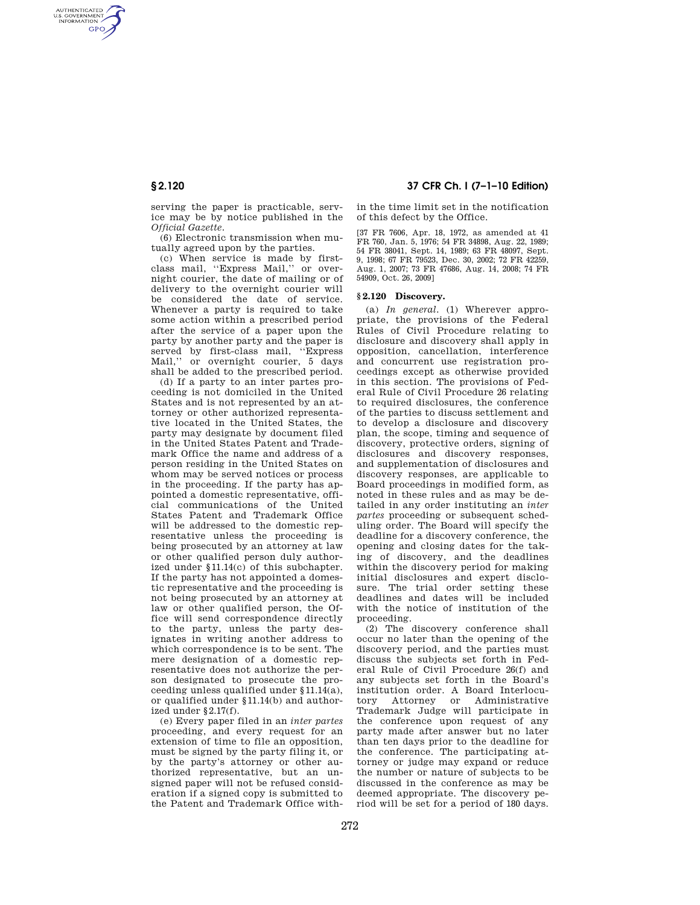AUTHENTICATED<br>U.S. GOVERNMENT<br>INFORMATION **GPO** 

> serving the paper is practicable, service may be by notice published in the *Official Gazette.*

> (6) Electronic transmission when mutually agreed upon by the parties.

(c) When service is made by firstclass mail, ''Express Mail,'' or overnight courier, the date of mailing or of delivery to the overnight courier will be considered the date of service. Whenever a party is required to take some action within a prescribed period after the service of a paper upon the party by another party and the paper is served by first-class mail, "Express Mail,'' or overnight courier, 5 days shall be added to the prescribed period.

(d) If a party to an inter partes proceeding is not domiciled in the United States and is not represented by an attorney or other authorized representative located in the United States, the party may designate by document filed in the United States Patent and Trademark Office the name and address of a person residing in the United States on whom may be served notices or process in the proceeding. If the party has appointed a domestic representative, official communications of the United States Patent and Trademark Office will be addressed to the domestic representative unless the proceeding is being prosecuted by an attorney at law or other qualified person duly authorized under §11.14(c) of this subchapter. If the party has not appointed a domestic representative and the proceeding is not being prosecuted by an attorney at law or other qualified person, the Office will send correspondence directly to the party, unless the party designates in writing another address to which correspondence is to be sent. The mere designation of a domestic representative does not authorize the person designated to prosecute the proceeding unless qualified under §11.14(a), or qualified under §11.14(b) and authorized under §2.17(f).

(e) Every paper filed in an *inter partes*  proceeding, and every request for an extension of time to file an opposition, must be signed by the party filing it, or by the party's attorney or other authorized representative, but an unsigned paper will not be refused consideration if a signed copy is submitted to the Patent and Trademark Office with-

# **§ 2.120 37 CFR Ch. I (7–1–10 Edition)**

in the time limit set in the notification of this defect by the Office.

[37 FR 7606, Apr. 18, 1972, as amended at 41 FR 760, Jan. 5, 1976; 54 FR 34898, Aug. 22, 1989; 54 FR 38041, Sept. 14, 1989; 63 FR 48097, Sept. 9, 1998; 67 FR 79523, Dec. 30, 2002; 72 FR 42259, Aug. 1, 2007; 73 FR 47686, Aug. 14, 2008; 74 FR 54909, Oct. 26, 2009]

#### **§ 2.120 Discovery.**

(a) *In general.* (1) Wherever appropriate, the provisions of the Federal Rules of Civil Procedure relating to disclosure and discovery shall apply in opposition, cancellation, interference and concurrent use registration proceedings except as otherwise provided in this section. The provisions of Federal Rule of Civil Procedure 26 relating to required disclosures, the conference of the parties to discuss settlement and to develop a disclosure and discovery plan, the scope, timing and sequence of discovery, protective orders, signing of disclosures and discovery responses. and supplementation of disclosures and discovery responses, are applicable to Board proceedings in modified form, as noted in these rules and as may be detailed in any order instituting an *inter partes* proceeding or subsequent scheduling order. The Board will specify the deadline for a discovery conference, the opening and closing dates for the taking of discovery, and the deadlines within the discovery period for making initial disclosures and expert disclosure. The trial order setting these deadlines and dates will be included with the notice of institution of the proceeding.

(2) The discovery conference shall occur no later than the opening of the discovery period, and the parties must discuss the subjects set forth in Federal Rule of Civil Procedure 26(f) and any subjects set forth in the Board's institution order. A Board Interlocutory Attorney or Trademark Judge will participate in the conference upon request of any party made after answer but no later than ten days prior to the deadline for the conference. The participating attorney or judge may expand or reduce the number or nature of subjects to be discussed in the conference as may be deemed appropriate. The discovery period will be set for a period of 180 days.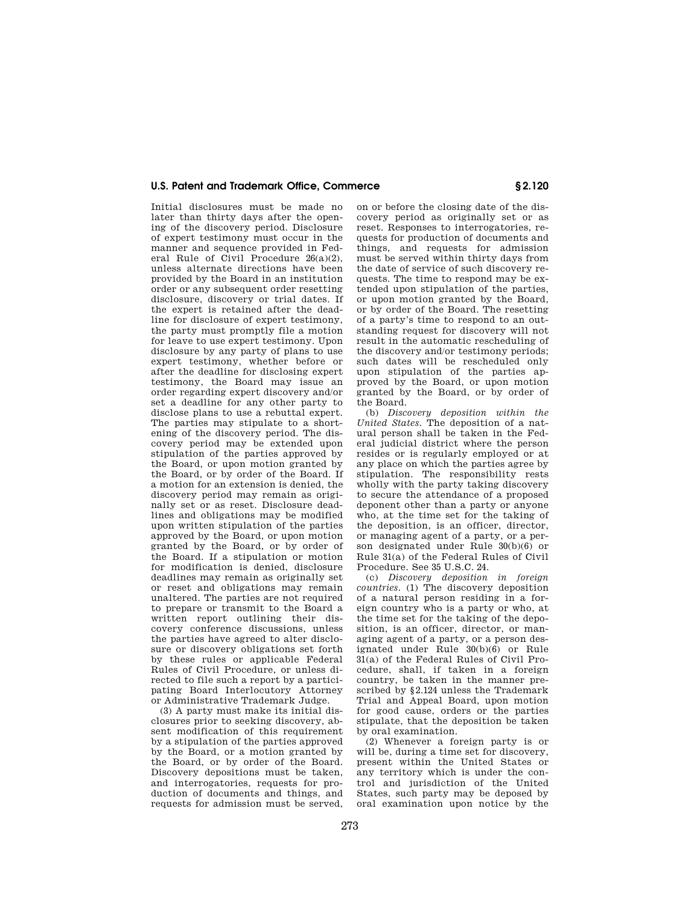## **U.S. Patent and Trademark Office, Commerce § 2.120**

Initial disclosures must be made no later than thirty days after the opening of the discovery period. Disclosure of expert testimony must occur in the manner and sequence provided in Federal Rule of Civil Procedure 26(a)(2), unless alternate directions have been provided by the Board in an institution order or any subsequent order resetting disclosure, discovery or trial dates. If the expert is retained after the deadline for disclosure of expert testimony, the party must promptly file a motion for leave to use expert testimony. Upon disclosure by any party of plans to use expert testimony, whether before or after the deadline for disclosing expert testimony, the Board may issue an order regarding expert discovery and/or set a deadline for any other party to disclose plans to use a rebuttal expert. The parties may stipulate to a shortening of the discovery period. The discovery period may be extended upon stipulation of the parties approved by the Board, or upon motion granted by the Board, or by order of the Board. If a motion for an extension is denied, the discovery period may remain as originally set or as reset. Disclosure deadlines and obligations may be modified upon written stipulation of the parties approved by the Board, or upon motion granted by the Board, or by order of the Board. If a stipulation or motion for modification is denied, disclosure deadlines may remain as originally set or reset and obligations may remain unaltered. The parties are not required to prepare or transmit to the Board a written report outlining their discovery conference discussions, unless the parties have agreed to alter disclosure or discovery obligations set forth by these rules or applicable Federal Rules of Civil Procedure, or unless directed to file such a report by a participating Board Interlocutory Attorney or Administrative Trademark Judge.

(3) A party must make its initial disclosures prior to seeking discovery, absent modification of this requirement by a stipulation of the parties approved by the Board, or a motion granted by the Board, or by order of the Board. Discovery depositions must be taken, and interrogatories, requests for production of documents and things, and requests for admission must be served

on or before the closing date of the discovery period as originally set or as reset. Responses to interrogatories, requests for production of documents and things, and requests for admission must be served within thirty days from the date of service of such discovery requests. The time to respond may be extended upon stipulation of the parties, or upon motion granted by the Board, or by order of the Board. The resetting of a party's time to respond to an outstanding request for discovery will not result in the automatic rescheduling of the discovery and/or testimony periods; such dates will be rescheduled only upon stipulation of the parties approved by the Board, or upon motion granted by the Board, or by order of the Board.

(b) *Discovery deposition within the United States.* The deposition of a natural person shall be taken in the Federal judicial district where the person resides or is regularly employed or at any place on which the parties agree by stipulation. The responsibility rests wholly with the party taking discovery to secure the attendance of a proposed deponent other than a party or anyone who, at the time set for the taking of the deposition, is an officer, director, or managing agent of a party, or a person designated under Rule 30(b)(6) or Rule 31(a) of the Federal Rules of Civil Procedure. See 35 U.S.C. 24.

(c) *Discovery deposition in foreign countries.* (1) The discovery deposition of a natural person residing in a foreign country who is a party or who, at the time set for the taking of the deposition, is an officer, director, or managing agent of a party, or a person designated under Rule 30(b)(6) or Rule 31(a) of the Federal Rules of Civil Procedure, shall, if taken in a foreign country, be taken in the manner prescribed by §2.124 unless the Trademark Trial and Appeal Board, upon motion for good cause, orders or the parties stipulate, that the deposition be taken by oral examination.

(2) Whenever a foreign party is or will be, during a time set for discovery, present within the United States or any territory which is under the control and jurisdiction of the United States, such party may be deposed by oral examination upon notice by the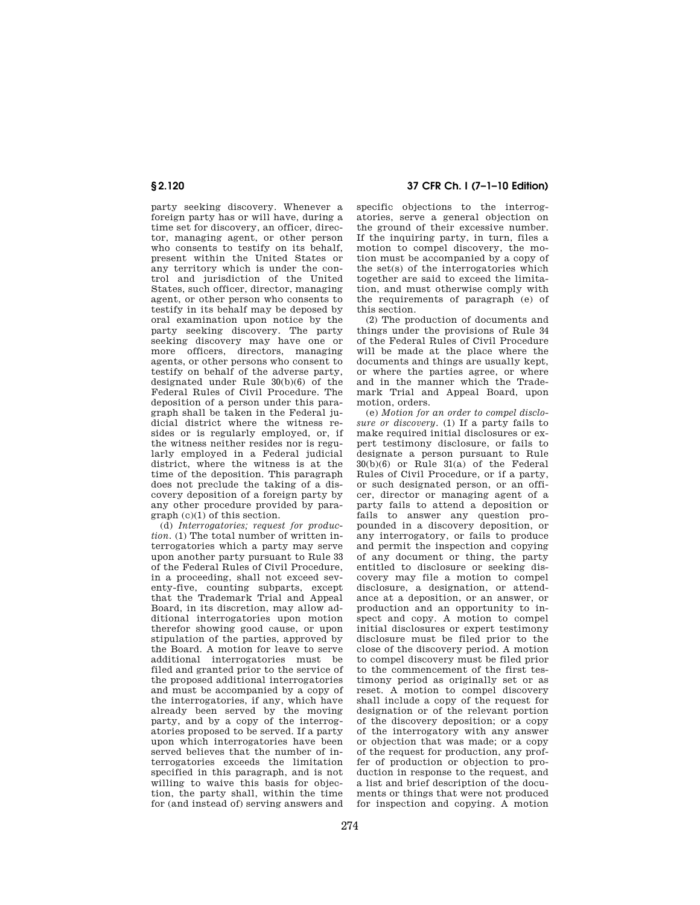party seeking discovery. Whenever a foreign party has or will have, during a time set for discovery, an officer, director, managing agent, or other person who consents to testify on its behalf, present within the United States or any territory which is under the control and jurisdiction of the United States, such officer, director, managing agent, or other person who consents to testify in its behalf may be deposed by oral examination upon notice by the party seeking discovery. The party seeking discovery may have one or more officers, directors, managing agents, or other persons who consent to testify on behalf of the adverse party, designated under Rule 30(b)(6) of the Federal Rules of Civil Procedure. The deposition of a person under this paragraph shall be taken in the Federal judicial district where the witness resides or is regularly employed, or, if the witness neither resides nor is regularly employed in a Federal judicial district, where the witness is at the time of the deposition. This paragraph does not preclude the taking of a discovery deposition of a foreign party by any other procedure provided by paragraph (c)(1) of this section.

(d) *Interrogatories; request for production.* (1) The total number of written interrogatories which a party may serve upon another party pursuant to Rule 33 of the Federal Rules of Civil Procedure, in a proceeding, shall not exceed seventy-five, counting subparts, except that the Trademark Trial and Appeal Board, in its discretion, may allow additional interrogatories upon motion therefor showing good cause, or upon stipulation of the parties, approved by the Board. A motion for leave to serve additional interrogatories must be filed and granted prior to the service of the proposed additional interrogatories and must be accompanied by a copy of the interrogatories, if any, which have already been served by the moving party, and by a copy of the interrogatories proposed to be served. If a party upon which interrogatories have been served believes that the number of interrogatories exceeds the limitation specified in this paragraph, and is not willing to waive this basis for objection, the party shall, within the time for (and instead of) serving answers and

# **§ 2.120 37 CFR Ch. I (7–1–10 Edition)**

specific objections to the interrogatories, serve a general objection on the ground of their excessive number. If the inquiring party, in turn, files a motion to compel discovery, the motion must be accompanied by a copy of the set(s) of the interrogatories which together are said to exceed the limitation, and must otherwise comply with the requirements of paragraph (e) of this section.

(2) The production of documents and things under the provisions of Rule 34 of the Federal Rules of Civil Procedure will be made at the place where the documents and things are usually kept, or where the parties agree, or where and in the manner which the Trademark Trial and Appeal Board, upon motion, orders.

(e) *Motion for an order to compel disclosure or discovery.* (1) If a party fails to make required initial disclosures or expert testimony disclosure, or fails to designate a person pursuant to Rule  $30(b)(6)$  or Rule  $31(a)$  of the Federal Rules of Civil Procedure, or if a party, or such designated person, or an officer, director or managing agent of a party fails to attend a deposition or fails to answer any question propounded in a discovery deposition, or any interrogatory, or fails to produce and permit the inspection and copying of any document or thing, the party entitled to disclosure or seeking discovery may file a motion to compel disclosure, a designation, or attendance at a deposition, or an answer, or production and an opportunity to inspect and copy. A motion to compel initial disclosures or expert testimony disclosure must be filed prior to the close of the discovery period. A motion to compel discovery must be filed prior to the commencement of the first testimony period as originally set or as reset. A motion to compel discovery shall include a copy of the request for designation or of the relevant portion of the discovery deposition; or a copy of the interrogatory with any answer or objection that was made; or a copy of the request for production, any proffer of production or objection to production in response to the request, and a list and brief description of the documents or things that were not produced for inspection and copying. A motion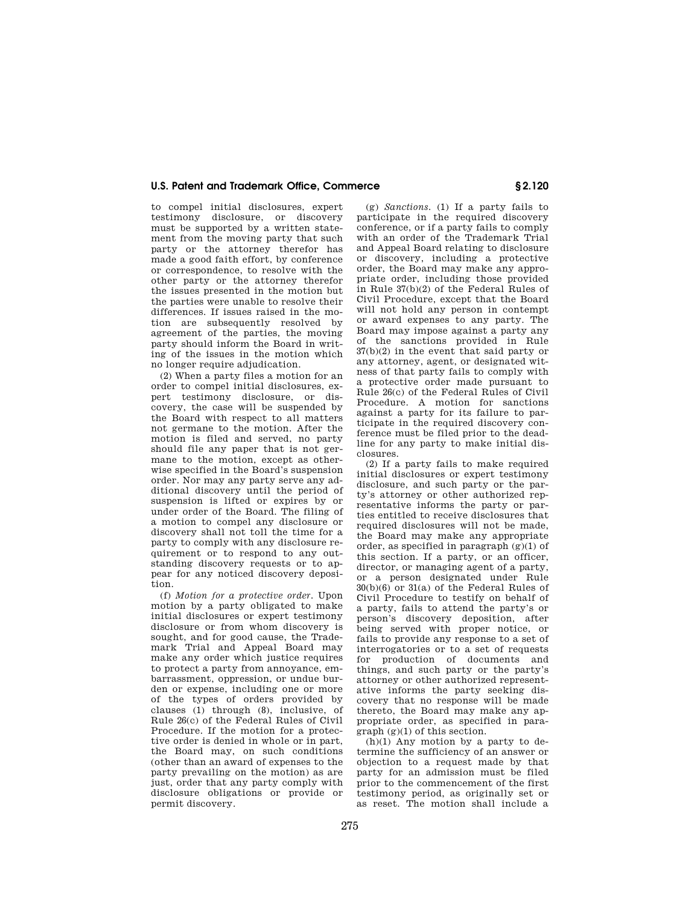## **U.S. Patent and Trademark Office, Commerce § 2.120**

to compel initial disclosures, expert testimony disclosure, or discovery must be supported by a written statement from the moving party that such party or the attorney therefor has made a good faith effort, by conference or correspondence, to resolve with the other party or the attorney therefor the issues presented in the motion but the parties were unable to resolve their differences. If issues raised in the motion are subsequently resolved by agreement of the parties, the moving party should inform the Board in writing of the issues in the motion which no longer require adjudication.

(2) When a party files a motion for an order to compel initial disclosures, expert testimony disclosure, or discovery, the case will be suspended by the Board with respect to all matters not germane to the motion. After the motion is filed and served, no party should file any paper that is not germane to the motion, except as otherwise specified in the Board's suspension order. Nor may any party serve any additional discovery until the period of suspension is lifted or expires by or under order of the Board. The filing of a motion to compel any disclosure or discovery shall not toll the time for a party to comply with any disclosure requirement or to respond to any outstanding discovery requests or to appear for any noticed discovery deposition.

(f) *Motion for a protective order.* Upon motion by a party obligated to make initial disclosures or expert testimony disclosure or from whom discovery is sought, and for good cause, the Trademark Trial and Appeal Board may make any order which justice requires to protect a party from annoyance, embarrassment, oppression, or undue burden or expense, including one or more of the types of orders provided by clauses (1) through (8), inclusive, of Rule 26(c) of the Federal Rules of Civil Procedure. If the motion for a protective order is denied in whole or in part, the Board may, on such conditions (other than an award of expenses to the party prevailing on the motion) as are just, order that any party comply with disclosure obligations or provide or permit discovery.

(g) *Sanctions.* (1) If a party fails to participate in the required discovery conference, or if a party fails to comply with an order of the Trademark Trial and Appeal Board relating to disclosure or discovery, including a protective order, the Board may make any appropriate order, including those provided in Rule 37(b)(2) of the Federal Rules of Civil Procedure, except that the Board will not hold any person in contempt or award expenses to any party. The Board may impose against a party any of the sanctions provided in Rule 37(b)(2) in the event that said party or any attorney, agent, or designated witness of that party fails to comply with a protective order made pursuant to Rule 26(c) of the Federal Rules of Civil Procedure. A motion for sanctions against a party for its failure to participate in the required discovery conference must be filed prior to the deadline for any party to make initial disclosures.

(2) If a party fails to make required initial disclosures or expert testimony disclosure, and such party or the party's attorney or other authorized representative informs the party or parties entitled to receive disclosures that required disclosures will not be made, the Board may make any appropriate order, as specified in paragraph  $(g)(1)$  of this section. If a party, or an officer, director, or managing agent of a party, or a person designated under Rule 30(b)(6) or 31(a) of the Federal Rules of Civil Procedure to testify on behalf of a party, fails to attend the party's or person's discovery deposition, after being served with proper notice, or fails to provide any response to a set of interrogatories or to a set of requests for production of documents and things, and such party or the party's attorney or other authorized representative informs the party seeking discovery that no response will be made thereto, the Board may make any appropriate order, as specified in paragraph (g)(1) of this section.

 $(h)(1)$  Any motion by a party to determine the sufficiency of an answer or objection to a request made by that party for an admission must be filed prior to the commencement of the first testimony period, as originally set or as reset. The motion shall include a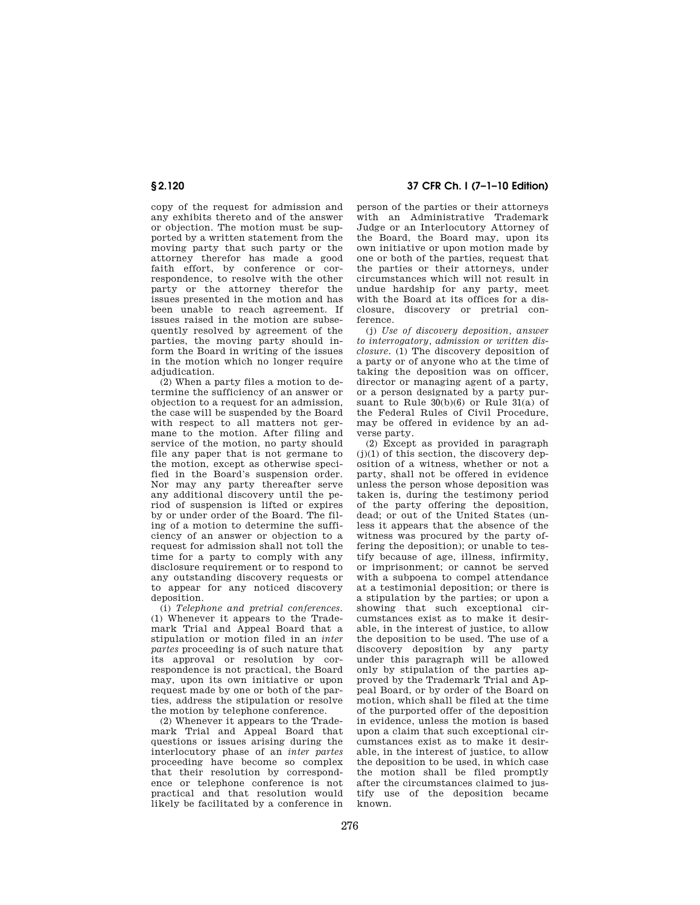copy of the request for admission and any exhibits thereto and of the answer or objection. The motion must be supported by a written statement from the moving party that such party or the attorney therefor has made a good faith effort, by conference or correspondence, to resolve with the other party or the attorney therefor the issues presented in the motion and has been unable to reach agreement. If issues raised in the motion are subsequently resolved by agreement of the parties, the moving party should in-.<br>form the Board in writing of the issues in the motion which no longer require adjudication.

(2) When a party files a motion to determine the sufficiency of an answer or objection to a request for an admission, the case will be suspended by the Board with respect to all matters not germane to the motion. After filing and service of the motion, no party should file any paper that is not germane to the motion, except as otherwise specified in the Board's suspension order. Nor may any party thereafter serve any additional discovery until the period of suspension is lifted or expires by or under order of the Board. The filing of a motion to determine the sufficiency of an answer or objection to a request for admission shall not toll the time for a party to comply with any disclosure requirement or to respond to any outstanding discovery requests or to appear for any noticed discovery deposition.

(i) *Telephone and pretrial conferences.*  (1) Whenever it appears to the Trademark Trial and Appeal Board that a stipulation or motion filed in an *inter partes* proceeding is of such nature that its approval or resolution by correspondence is not practical, the Board may, upon its own initiative or upon request made by one or both of the parties, address the stipulation or resolve the motion by telephone conference.

(2) Whenever it appears to the Trademark Trial and Appeal Board that questions or issues arising during the interlocutory phase of an *inter partes*  proceeding have become so complex that their resolution by correspondence or telephone conference is not practical and that resolution would likely be facilitated by a conference in

**§ 2.120 37 CFR Ch. I (7–1–10 Edition)** 

person of the parties or their attorneys with an Administrative Trademark Judge or an Interlocutory Attorney of the Board, the Board may, upon its own initiative or upon motion made by one or both of the parties, request that the parties or their attorneys, under circumstances which will not result in undue hardship for any party, meet with the Board at its offices for a disclosure, discovery or pretrial conference.

(j) *Use of discovery deposition, answer to interrogatory, admission or written disclosure.* (1) The discovery deposition of a party or of anyone who at the time of taking the deposition was on officer, director or managing agent of a party, or a person designated by a party pursuant to Rule 30(b)(6) or Rule 31(a) of the Federal Rules of Civil Procedure, may be offered in evidence by an adverse party.

(2) Except as provided in paragraph  $(j)(1)$  of this section, the discovery deposition of a witness, whether or not a party, shall not be offered in evidence unless the person whose deposition was taken is, during the testimony period of the party offering the deposition, dead; or out of the United States (unless it appears that the absence of the witness was procured by the party offering the deposition); or unable to testify because of age, illness, infirmity, or imprisonment; or cannot be served with a subpoena to compel attendance at a testimonial deposition; or there is a stipulation by the parties; or upon a showing that such exceptional circumstances exist as to make it desirable, in the interest of justice, to allow the deposition to be used. The use of a discovery deposition by any party under this paragraph will be allowed only by stipulation of the parties approved by the Trademark Trial and Appeal Board, or by order of the Board on motion, which shall be filed at the time of the purported offer of the deposition in evidence, unless the motion is based upon a claim that such exceptional circumstances exist as to make it desirable, in the interest of justice, to allow the deposition to be used, in which case the motion shall be filed promptly after the circumstances claimed to justify use of the deposition became known.